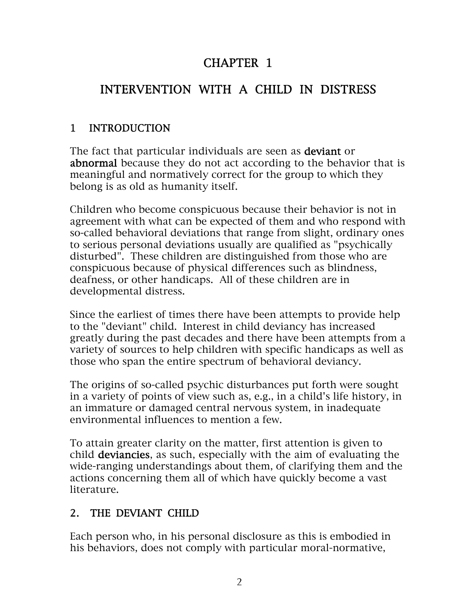## CHAPTER 1

# INTERVENTION WITH A CHILD IN DISTRESS

## 1 INTRODUCTION

The fact that particular individuals are seen as **deviant** or abnormal because they do not act according to the behavior that is meaningful and normatively correct for the group to which they belong is as old as humanity itself.

Children who become conspicuous because their behavior is not in agreement with what can be expected of them and who respond with so-called behavioral deviations that range from slight, ordinary ones to serious personal deviations usually are qualified as "psychically disturbed". These children are distinguished from those who are conspicuous because of physical differences such as blindness, deafness, or other handicaps. All of these children are in developmental distress.

Since the earliest of times there have been attempts to provide help to the "deviant" child. Interest in child deviancy has increased greatly during the past decades and there have been attempts from a variety of sources to help children with specific handicaps as well as those who span the entire spectrum of behavioral deviancy.

The origins of so-called psychic disturbances put forth were sought in a variety of points of view such as, e.g., in a child's life history, in an immature or damaged central nervous system, in inadequate environmental influences to mention a few.

To attain greater clarity on the matter, first attention is given to child deviancies, as such, especially with the aim of evaluating the wide-ranging understandings about them, of clarifying them and the actions concerning them all of which have quickly become a vast literature.

## 2. THE DEVIANT CHILD

Each person who, in his personal disclosure as this is embodied in his behaviors, does not comply with particular moral-normative,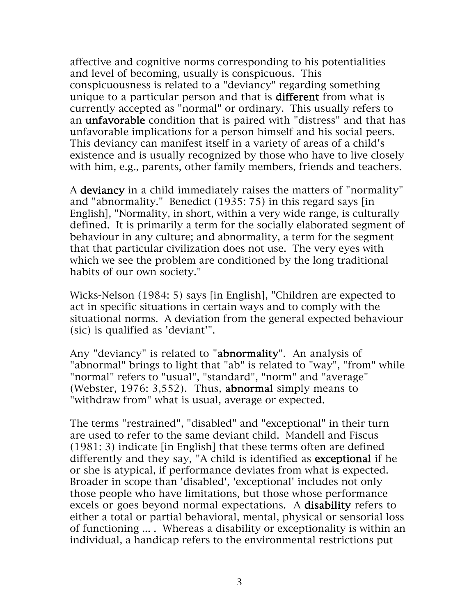affective and cognitive norms corresponding to his potentialities and level of becoming, usually is conspicuous. This conspicuousness is related to a "deviancy" regarding something unique to a particular person and that is **different** from what is currently accepted as "normal" or ordinary. This usually refers to an unfavorable condition that is paired with "distress" and that has unfavorable implications for a person himself and his social peers. This deviancy can manifest itself in a variety of areas of a child's existence and is usually recognized by those who have to live closely with him, e.g., parents, other family members, friends and teachers.

A deviancy in a child immediately raises the matters of "normality" and "abnormality." Benedict (1935: 75) in this regard says [in English], "Normality, in short, within a very wide range, is culturally defined. It is primarily a term for the socially elaborated segment of behaviour in any culture; and abnormality, a term for the segment that that particular civilization does not use. The very eyes with which we see the problem are conditioned by the long traditional habits of our own society."

Wicks-Nelson (1984: 5) says [in English], "Children are expected to act in specific situations in certain ways and to comply with the situational norms. A deviation from the general expected behaviour (sic) is qualified as 'deviant'".

Any "deviancy" is related to "abnormality". An analysis of "abnormal" brings to light that "ab" is related to "way", "from" while "normal" refers to "usual", "standard", "norm" and "average" (Webster, 1976: 3,552). Thus, abnormal simply means to "withdraw from" what is usual, average or expected.

The terms "restrained", "disabled" and "exceptional" in their turn are used to refer to the same deviant child. Mandell and Fiscus (1981: 3) indicate [in English] that these terms often are defined differently and they say, "A child is identified as exceptional if he or she is atypical, if performance deviates from what is expected. Broader in scope than 'disabled', 'exceptional' includes not only those people who have limitations, but those whose performance excels or goes beyond normal expectations. A disability refers to either a total or partial behavioral, mental, physical or sensorial loss of functioning ... . Whereas a disability or exceptionality is within an individual, a handicap refers to the environmental restrictions put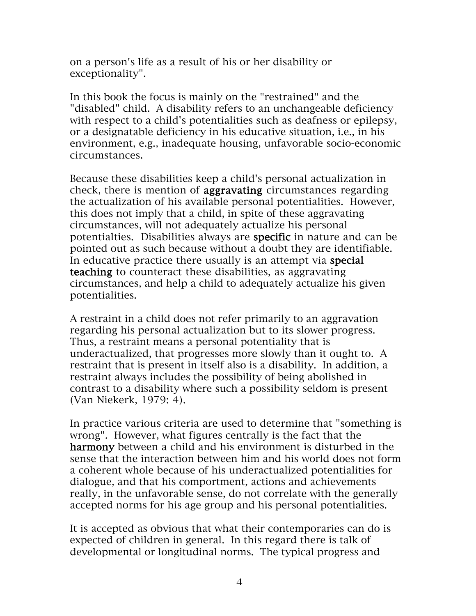on a person's life as a result of his or her disability or exceptionality".

In this book the focus is mainly on the "restrained" and the "disabled" child. A disability refers to an unchangeable deficiency with respect to a child's potentialities such as deafness or epilepsy, or a designatable deficiency in his educative situation, i.e., in his environment, e.g., inadequate housing, unfavorable socio-economic circumstances.

Because these disabilities keep a child's personal actualization in check, there is mention of aggravating circumstances regarding the actualization of his available personal potentialities. However, this does not imply that a child, in spite of these aggravating circumstances, will not adequately actualize his personal potentialties. Disabilities always are specific in nature and can be pointed out as such because without a doubt they are identifiable. In educative practice there usually is an attempt via special teaching to counteract these disabilities, as aggravating circumstances, and help a child to adequately actualize his given potentialities.

A restraint in a child does not refer primarily to an aggravation regarding his personal actualization but to its slower progress. Thus, a restraint means a personal potentiality that is underactualized, that progresses more slowly than it ought to. A restraint that is present in itself also is a disability. In addition, a restraint always includes the possibility of being abolished in contrast to a disability where such a possibility seldom is present (Van Niekerk, 1979: 4).

In practice various criteria are used to determine that "something is wrong". However, what figures centrally is the fact that the harmony between a child and his environment is disturbed in the sense that the interaction between him and his world does not form a coherent whole because of his underactualized potentialities for dialogue, and that his comportment, actions and achievements really, in the unfavorable sense, do not correlate with the generally accepted norms for his age group and his personal potentialities.

It is accepted as obvious that what their contemporaries can do is expected of children in general. In this regard there is talk of developmental or longitudinal norms. The typical progress and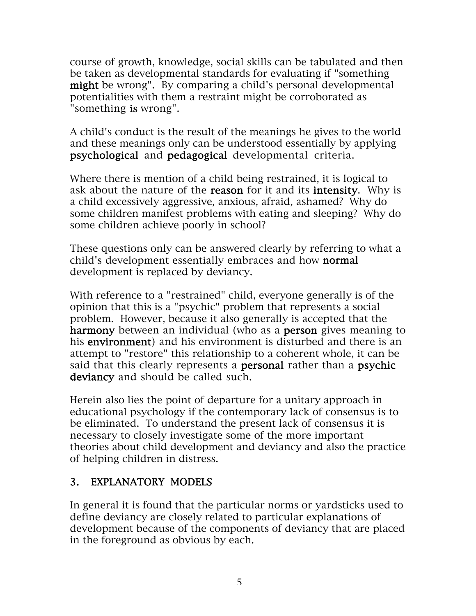course of growth, knowledge, social skills can be tabulated and then be taken as developmental standards for evaluating if "something might be wrong". By comparing a child's personal developmental potentialities with them a restraint might be corroborated as "something is wrong".

A child's conduct is the result of the meanings he gives to the world and these meanings only can be understood essentially by applying psychological and pedagogical developmental criteria.

Where there is mention of a child being restrained, it is logical to ask about the nature of the **reason** for it and its **intensity**. Why is a child excessively aggressive, anxious, afraid, ashamed? Why do some children manifest problems with eating and sleeping? Why do some children achieve poorly in school?

These questions only can be answered clearly by referring to what a child's development essentially embraces and how normal development is replaced by deviancy.

With reference to a "restrained" child, everyone generally is of the opinion that this is a "psychic" problem that represents a social problem. However, because it also generally is accepted that the harmony between an individual (who as a person gives meaning to his environment) and his environment is disturbed and there is an attempt to "restore" this relationship to a coherent whole, it can be said that this clearly represents a personal rather than a psychic deviancy and should be called such.

Herein also lies the point of departure for a unitary approach in educational psychology if the contemporary lack of consensus is to be eliminated. To understand the present lack of consensus it is necessary to closely investigate some of the more important theories about child development and deviancy and also the practice of helping children in distress.

### 3. EXPLANATORY MODELS

In general it is found that the particular norms or yardsticks used to define deviancy are closely related to particular explanations of development because of the components of deviancy that are placed in the foreground as obvious by each.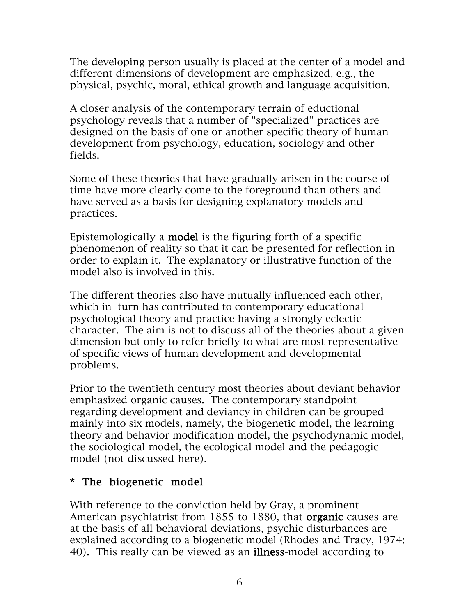The developing person usually is placed at the center of a model and different dimensions of development are emphasized, e.g., the physical, psychic, moral, ethical growth and language acquisition.

A closer analysis of the contemporary terrain of eductional psychology reveals that a number of "specialized" practices are designed on the basis of one or another specific theory of human development from psychology, education, sociology and other fields.

Some of these theories that have gradually arisen in the course of time have more clearly come to the foreground than others and have served as a basis for designing explanatory models and practices.

Epistemologically a model is the figuring forth of a specific phenomenon of reality so that it can be presented for reflection in order to explain it. The explanatory or illustrative function of the model also is involved in this.

The different theories also have mutually influenced each other, which in turn has contributed to contemporary educational psychological theory and practice having a strongly eclectic character. The aim is not to discuss all of the theories about a given dimension but only to refer briefly to what are most representative of specific views of human development and developmental problems.

Prior to the twentieth century most theories about deviant behavior emphasized organic causes. The contemporary standpoint regarding development and deviancy in children can be grouped mainly into six models, namely, the biogenetic model, the learning theory and behavior modification model, the psychodynamic model, the sociological model, the ecological model and the pedagogic model (not discussed here).

#### \* The biogenetic model

With reference to the conviction held by Gray, a prominent American psychiatrist from 1855 to 1880, that **organic** causes are at the basis of all behavioral deviations, psychic disturbances are explained according to a biogenetic model (Rhodes and Tracy, 1974: 40). This really can be viewed as an **illness-model** according to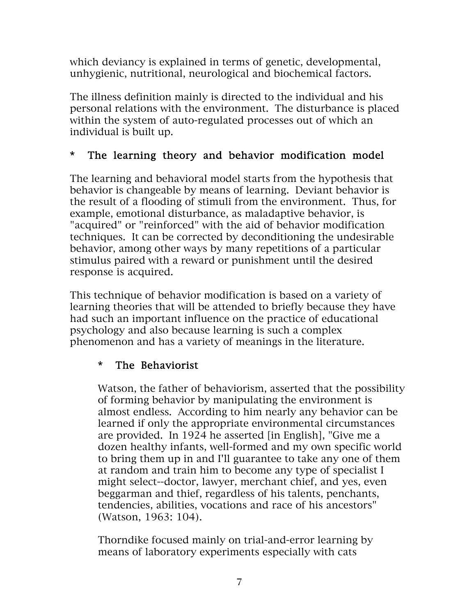which deviancy is explained in terms of genetic, developmental, unhygienic, nutritional, neurological and biochemical factors.

The illness definition mainly is directed to the individual and his personal relations with the environment. The disturbance is placed within the system of auto-regulated processes out of which an individual is built up.

### \* The learning theory and behavior modification model

The learning and behavioral model starts from the hypothesis that behavior is changeable by means of learning. Deviant behavior is the result of a flooding of stimuli from the environment. Thus, for example, emotional disturbance, as maladaptive behavior, is "acquired" or "reinforced" with the aid of behavior modification techniques. It can be corrected by deconditioning the undesirable behavior, among other ways by many repetitions of a particular stimulus paired with a reward or punishment until the desired response is acquired.

This technique of behavior modification is based on a variety of learning theories that will be attended to briefly because they have had such an important influence on the practice of educational psychology and also because learning is such a complex phenomenon and has a variety of meanings in the literature.

## \* The Behaviorist

Watson, the father of behaviorism, asserted that the possibility of forming behavior by manipulating the environment is almost endless. According to him nearly any behavior can be learned if only the appropriate environmental circumstances are provided. In 1924 he asserted [in English], "Give me a dozen healthy infants, well-formed and my own specific world to bring them up in and I'll guarantee to take any one of them at random and train him to become any type of specialist I might select--doctor, lawyer, merchant chief, and yes, even beggarman and thief, regardless of his talents, penchants, tendencies, abilities, vocations and race of his ancestors" (Watson, 1963: 104).

Thorndike focused mainly on trial-and-error learning by means of laboratory experiments especially with cats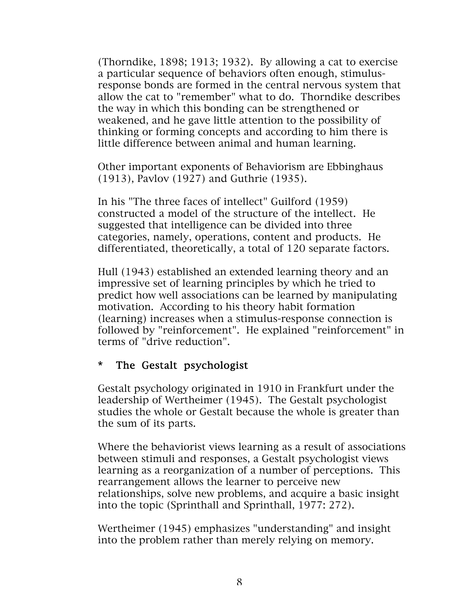(Thorndike, 1898; 1913; 1932). By allowing a cat to exercise a particular sequence of behaviors often enough, stimulusresponse bonds are formed in the central nervous system that allow the cat to "remember" what to do. Thorndike describes the way in which this bonding can be strengthened or weakened, and he gave little attention to the possibility of thinking or forming concepts and according to him there is little difference between animal and human learning.

Other important exponents of Behaviorism are Ebbinghaus (1913), Pavlov (1927) and Guthrie (1935).

In his "The three faces of intellect" Guilford (1959) constructed a model of the structure of the intellect. He suggested that intelligence can be divided into three categories, namely, operations, content and products. He differentiated, theoretically, a total of 120 separate factors.

Hull (1943) established an extended learning theory and an impressive set of learning principles by which he tried to predict how well associations can be learned by manipulating motivation. According to his theory habit formation (learning) increases when a stimulus-response connection is followed by "reinforcement". He explained "reinforcement" in terms of "drive reduction".

#### \* The Gestalt psychologist

Gestalt psychology originated in 1910 in Frankfurt under the leadership of Wertheimer (1945). The Gestalt psychologist studies the whole or Gestalt because the whole is greater than the sum of its parts.

Where the behaviorist views learning as a result of associations between stimuli and responses, a Gestalt psychologist views learning as a reorganization of a number of perceptions. This rearrangement allows the learner to perceive new relationships, solve new problems, and acquire a basic insight into the topic (Sprinthall and Sprinthall, 1977: 272).

Wertheimer (1945) emphasizes "understanding" and insight into the problem rather than merely relying on memory.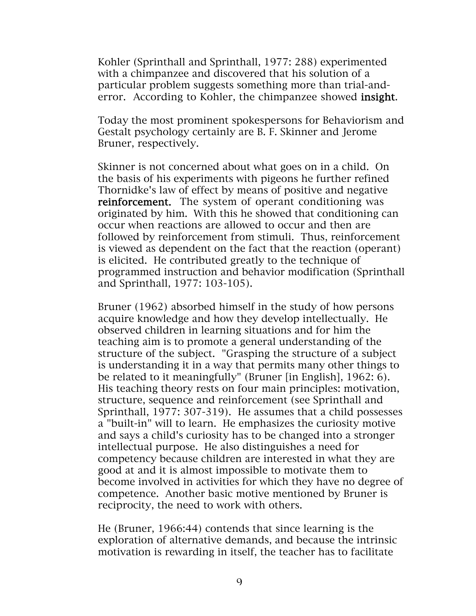Kohler (Sprinthall and Sprinthall, 1977: 288) experimented with a chimpanzee and discovered that his solution of a particular problem suggests something more than trial-anderror. According to Kohler, the chimpanzee showed insight.

Today the most prominent spokespersons for Behaviorism and Gestalt psychology certainly are B. F. Skinner and Jerome Bruner, respectively.

Skinner is not concerned about what goes on in a child. On the basis of his experiments with pigeons he further refined Thornidke's law of effect by means of positive and negative reinforcement. The system of operant conditioning was originated by him. With this he showed that conditioning can occur when reactions are allowed to occur and then are followed by reinforcement from stimuli. Thus, reinforcement is viewed as dependent on the fact that the reaction (operant) is elicited. He contributed greatly to the technique of programmed instruction and behavior modification (Sprinthall and Sprinthall, 1977: 103-105).

Bruner (1962) absorbed himself in the study of how persons acquire knowledge and how they develop intellectually. He observed children in learning situations and for him the teaching aim is to promote a general understanding of the structure of the subject. "Grasping the structure of a subject is understanding it in a way that permits many other things to be related to it meaningfully" (Bruner [in English], 1962: 6). His teaching theory rests on four main principles: motivation, structure, sequence and reinforcement (see Sprinthall and Sprinthall, 1977: 307-319). He assumes that a child possesses a "built-in" will to learn. He emphasizes the curiosity motive and says a child's curiosity has to be changed into a stronger intellectual purpose. He also distinguishes a need for competency because children are interested in what they are good at and it is almost impossible to motivate them to become involved in activities for which they have no degree of competence. Another basic motive mentioned by Bruner is reciprocity, the need to work with others.

He (Bruner, 1966:44) contends that since learning is the exploration of alternative demands, and because the intrinsic motivation is rewarding in itself, the teacher has to facilitate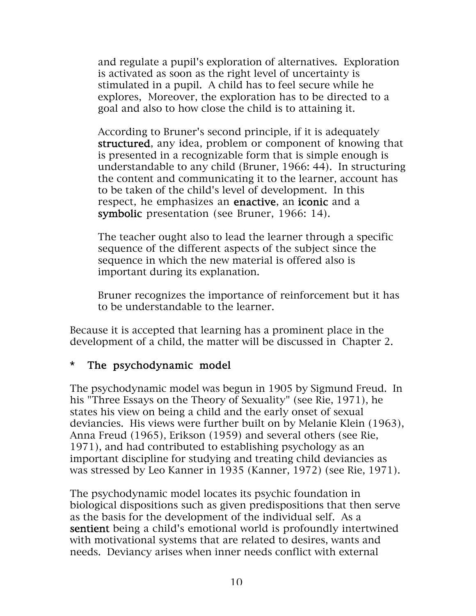and regulate a pupil's exploration of alternatives. Exploration is activated as soon as the right level of uncertainty is stimulated in a pupil. A child has to feel secure while he explores, Moreover, the exploration has to be directed to a goal and also to how close the child is to attaining it.

According to Bruner's second principle, if it is adequately structured, any idea, problem or component of knowing that is presented in a recognizable form that is simple enough is understandable to any child (Bruner, 1966: 44). In structuring the content and communicating it to the learner, account has to be taken of the child's level of development. In this respect, he emphasizes an enactive, an iconic and a symbolic presentation (see Bruner, 1966: 14).

The teacher ought also to lead the learner through a specific sequence of the different aspects of the subject since the sequence in which the new material is offered also is important during its explanation.

Bruner recognizes the importance of reinforcement but it has to be understandable to the learner.

Because it is accepted that learning has a prominent place in the development of a child, the matter will be discussed in Chapter 2.

### \* The psychodynamic model

The psychodynamic model was begun in 1905 by Sigmund Freud. In his "Three Essays on the Theory of Sexuality" (see Rie, 1971), he states his view on being a child and the early onset of sexual deviancies. His views were further built on by Melanie Klein (1963), Anna Freud (1965), Erikson (1959) and several others (see Rie, 1971), and had contributed to establishing psychology as an important discipline for studying and treating child deviancies as was stressed by Leo Kanner in 1935 (Kanner, 1972) (see Rie, 1971).

The psychodynamic model locates its psychic foundation in biological dispositions such as given predispositions that then serve as the basis for the development of the individual self. As a sentient being a child's emotional world is profoundly intertwined with motivational systems that are related to desires, wants and needs. Deviancy arises when inner needs conflict with external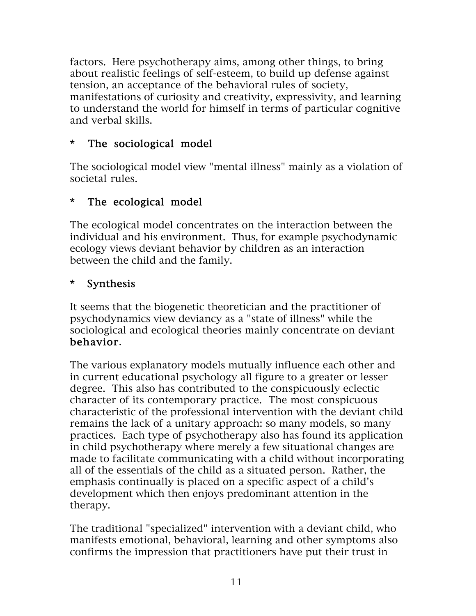factors. Here psychotherapy aims, among other things, to bring about realistic feelings of self-esteem, to build up defense against tension, an acceptance of the behavioral rules of society, manifestations of curiosity and creativity, expressivity, and learning to understand the world for himself in terms of particular cognitive and verbal skills.

### \* The sociological model

The sociological model view "mental illness" mainly as a violation of societal rules.

### \* The ecological model

The ecological model concentrates on the interaction between the individual and his environment. Thus, for example psychodynamic ecology views deviant behavior by children as an interaction between the child and the family.

### \* Synthesis

It seems that the biogenetic theoretician and the practitioner of psychodynamics view deviancy as a "state of illness" while the sociological and ecological theories mainly concentrate on deviant behavior.

The various explanatory models mutually influence each other and in current educational psychology all figure to a greater or lesser degree. This also has contributed to the conspicuously eclectic character of its contemporary practice. The most conspicuous characteristic of the professional intervention with the deviant child remains the lack of a unitary approach: so many models, so many practices. Each type of psychotherapy also has found its application in child psychotherapy where merely a few situational changes are made to facilitate communicating with a child without incorporating all of the essentials of the child as a situated person. Rather, the emphasis continually is placed on a specific aspect of a child's development which then enjoys predominant attention in the therapy.

The traditional "specialized" intervention with a deviant child, who manifests emotional, behavioral, learning and other symptoms also confirms the impression that practitioners have put their trust in